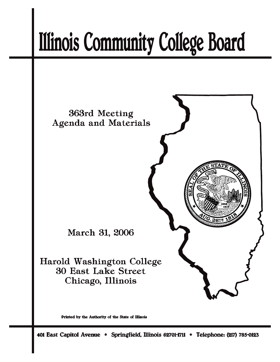# **Illinois Community College Board**



Printed by the Authority of the State of Illinois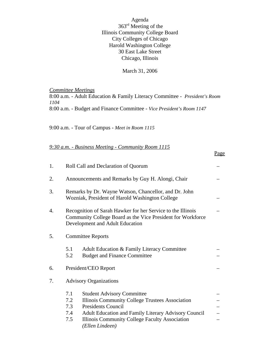Agenda 363rd Meeting of the Illinois Community College Board City Colleges of Chicago Harold Washington College 30 East Lake Street Chicago, Illinois

## March 31, 2006

*Committee Meetings* 8:00 a.m. - Adult Education & Family Literacy Committee - *President's Room 1104* 8:00 a.m. - Budget and Finance Committee - *Vice President's Room 1147*

Page

9:00 a.m. - Tour of Campus - *Meet in Room 1115*

|  | 9:30 a.m. - Business Meeting - Community Room 1115 |  |
|--|----------------------------------------------------|--|
|  |                                                    |  |

| 1. | Roll Call and Declaration of Quorum                                                                                                                                                                                                                                               |  |  |  |  |
|----|-----------------------------------------------------------------------------------------------------------------------------------------------------------------------------------------------------------------------------------------------------------------------------------|--|--|--|--|
| 2. | Announcements and Remarks by Guy H. Alongi, Chair                                                                                                                                                                                                                                 |  |  |  |  |
| 3. | Remarks by Dr. Wayne Watson, Chancellor, and Dr. John<br>Wozniak, President of Harold Washington College                                                                                                                                                                          |  |  |  |  |
| 4. | Recognition of Sarah Hawker for her Service to the Illinois<br>Community College Board as the Vice President for Workforce<br>Development and Adult Education                                                                                                                     |  |  |  |  |
| 5. | <b>Committee Reports</b>                                                                                                                                                                                                                                                          |  |  |  |  |
|    | 5.1<br>Adult Education & Family Literacy Committee<br>5.2<br><b>Budget and Finance Committee</b>                                                                                                                                                                                  |  |  |  |  |
| 6. | President/CEO Report                                                                                                                                                                                                                                                              |  |  |  |  |
| 7. | <b>Advisory Organizations</b>                                                                                                                                                                                                                                                     |  |  |  |  |
|    | 7.1<br><b>Student Advisory Committee</b><br>7.2<br>Illinois Community College Trustees Association<br>7.3<br><b>Presidents Council</b><br>7.4<br>Adult Education and Family Literary Advisory Council<br>7.5<br>Illinois Community College Faculty Association<br>(Ellen Lindeen) |  |  |  |  |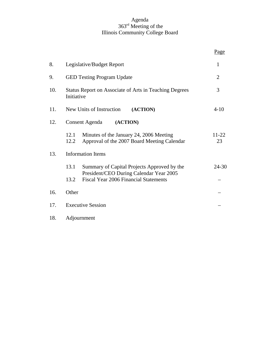## Agenda 363rd Meeting of the Illinois Community College Board

|     |                                                                                                        | Page            |
|-----|--------------------------------------------------------------------------------------------------------|-----------------|
| 8.  | Legislative/Budget Report                                                                              | $\mathbf{1}$    |
| 9.  | <b>GED Testing Program Update</b>                                                                      | $\overline{2}$  |
| 10. | Status Report on Associate of Arts in Teaching Degrees<br>Initiative                                   | 3               |
| 11. | New Units of Instruction<br>(ACTION)                                                                   | $4 - 10$        |
| 12. | Consent Agenda<br>(ACTION)                                                                             |                 |
|     | Minutes of the January 24, 2006 Meeting<br>12.1<br>Approval of the 2007 Board Meeting Calendar<br>12.2 | $11 - 22$<br>23 |
| 13. | <b>Information Items</b>                                                                               |                 |
|     | 13.1<br>Summary of Capital Projects Approved by the                                                    | $24 - 30$       |
|     | President/CEO During Calendar Year 2005<br><b>Fiscal Year 2006 Financial Statements</b><br>13.2        |                 |
| 16. | Other                                                                                                  |                 |
| 17. | <b>Executive Session</b>                                                                               |                 |
| 18. | Adjournment                                                                                            |                 |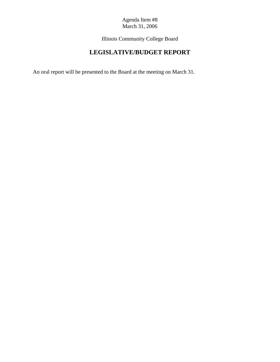Illinois Community College Board

# **LEGISLATIVE/BUDGET REPORT**

An oral report will be presented to the Board at the meeting on March 31.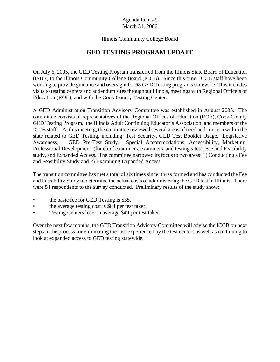# Illinois Community College Board

# **GED TESTING PROGRAM UPDATE**

On July 6, 2005, the GED Testing Program transferred from the Illinois State Board of Education (ISBE) to the Illinois Community College Board (ICCB). Since this time, ICCB staff have been working to provide guidance and oversight for 68 GED Testing programs statewide. This includes visits to testing centers and addendum sites throughout Illinois, meetings with Regional Office's of Education (ROE), and with the Cook County Testing Center.

A GED Administration Transition Advisory Committee was established in August 2005. The committee consists of representatives of the Regional Offices of Education (ROE), Cook County GED Testing Program, the Illinois Adult Continuing Educator's Association, and members of the ICCB staff. At this meeting, the committee reviewed several areas of need and concern within the state related to GED Testing, including: Test Security, GED Test Booklet Usage, Legislative Awareness, GED Pre-Test Study, Special Accommodations, Accessibility, Marketing, Professional Development (for chief examiners, examiners, and testing sites), Fee and Feasibility study, and Expanded Access. The committee narrowed its focus to two areas: 1) Conducting a Fee and Feasibility Study and 2) Examining Expanded Access.

The transition committee has met a total of six times since it was formed and has conducted the Fee and Feasibility Study to determine the actual costs of administering the GED test in Illinois. There were 54 respondents to the survey conducted. Preliminary results of the study show:

- the basic fee for GED Testing is \$35.
- the average testing cost is \$84 per test taker.
- Testing Centers lose on average \$49 per test taker.

Over the next few months, the GED Transition Advisory Committee will advise the ICCB on next steps in the process for eliminating the loss experienced by the test centers as well as continuing to look at expanded access to GED testing statewide.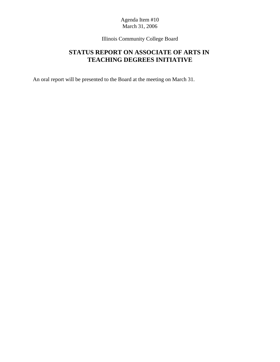Illinois Community College Board

# **STATUS REPORT ON ASSOCIATE OF ARTS IN TEACHING DEGREES INITIATIVE**

An oral report will be presented to the Board at the meeting on March 31.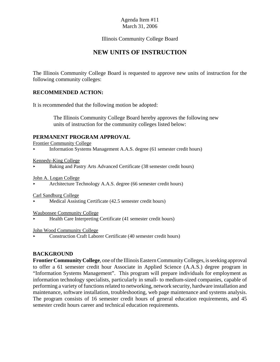Illinois Community College Board

# **NEW UNITS OF INSTRUCTION**

The Illinois Community College Board is requested to approve new units of instruction for the following community colleges:

## **RECOMMENDED ACTION:**

It is recommended that the following motion be adopted:

 The Illinois Community College Board hereby approves the following new units of instruction for the community colleges listed below:

## **PERMANENT PROGRAM APPROVAL**

Frontier Community College

< Information Systems Management A.A.S. degree (61 semester credit hours)

Kennedy-King College

Baking and Pastry Arts Advanced Certificate (38 semester credit hours)

John A. Logan College

< Architecture Technology A.A.S. degree (66 semester credit hours)

Carl Sandburg College

Medical Assisting Certificate (42.5 semester credit hours)

Waubonsee Community College

< Health Care Interpreting Certificate (41 semester credit hours)

#### John Wood Community College

< Construction Craft Laborer Certificate (40 semester credit hours)

#### **BACKGROUND**

**Frontier Community College**, one of the Illinois Eastern Community Colleges, is seeking approval to offer a 61 semester credit hour Associate in Applied Science (A.A.S.) degree program in "Information Systems Management". This program will prepare individuals for employment as information technology specialists, particularly in small- to medium-sized companies, capable of performing a variety of functions related to networking, network security, hardware installation and maintenance, software installation, troubleshooting, web page maintenance and systems analysis. The program consists of 16 semester credit hours of general education requirements, and 45 semester credit hours career and technical education requirements.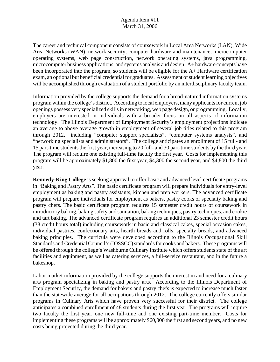The career and technical component consists of coursework in Local Area Networks (LAN), Wide Area Networks (WAN), network security, computer hardware and maintenance, microcomputer operating systems, web page construction, network operating systems, java programming, microcomputer business applications, and systems analysis and design. A+ hardware concepts have been incorporated into the program, so students will be eligible for the A+ Hardware certification exam, an optional but beneficial credential for graduates. Assessment of student learning objectives will be accomplished through evaluation of a student portfolio by an interdisciplinary faculty team.

Information provided by the college supports the demand for a broad-natured information systems program within the college's district. According to local employers, many applicants for current job openings possess very specialized skills in networking, web page design, or programming. Locally, employers are interested in individuals with a broader focus on all aspects of information technology. The Illinois Department of Employment Security's employment projections indicate an average to above average growth in employment of several job titles related to this program through 2012, including "computer support specialists", "computer systems analysts", and "networking specialists and administrators". The college anticipates an enrollment of 15 full- and 15 part-time students the first year, increasing to 20 full- and 30 part-time students by the third year. The program will require one existing full-time faculty the first year. Costs for implementing this program will be approximately \$1,800 the first year, \$4,300 the second year, and \$4,800 the third year.

**Kennedy-King College** is seeking approval to offer basic and advanced level certificate programs in "Baking and Pastry Arts". The basic certificate program will prepare individuals for entry-level employment as baking and pastry assistants, kitchen and prep workers. The advanced certificate program will prepare individuals for employment as bakers, pastry cooks or specialty baking and pastry chefs. The basic certificate program requires 15 semester credit hours of coursework in introductory baking, baking safety and sanitation, baking techniques, pastry techniques, and cookie and tart baking. The advanced certificate program requires an additional 23 semester credit hours (38 credit hours total) including coursework in basic and classical cakes, special occasion cakes, individual pastries, confectionary arts, hearth breads and rolls, specialty breads, and advanced baking principles. The curricula were developed according to the Illinois Occupational Skill Standards and Credential Council's (IOSSCC) standards for cooks and bakers. These programs will be offered through the college's Washburne Culinary Institute which offers students state of the art facilities and equipment, as well as catering services, a full-service restaurant, and in the future a bakeshop.

Labor market information provided by the college supports the interest in and need for a culinary arts program specializing in baking and pastry arts. According to the Illinois Department of Employment Security, the demand for bakers and pastry chefs is expected to increase much faster than the statewide average for all occupations through 2012. The college currently offers similar programs in Culinary Arts which have proven very successful for their district. The college anticipates a combined enrollment of 48 students during the first year. The programs will require two faculty the first year, one new full-time and one existing part-time member. Costs for implementing these programs will be approximately \$60,000 the first and second years, and no new costs being projected during the third year.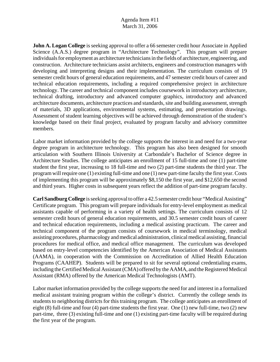**John A. Logan College** is seeking approval to offer a 66 semester credit hour Associate in Applied Science (A.A.S.) degree program in "Architecture Technology". This program will prepare individuals for employment as architecture technicians in the fields of architecture, engineering, and construction. Architecture technicians assist architects, engineers and construction managers with developing and interpreting designs and their implementation. The curriculum consists of 19 semester credit hours of general education requirements, and 47 semester credit hours of career and technical education requirements, including a required comprehensive project in architecture technology. The career and technical component includes coursework in introductory architecture, technical drafting, introductory and advanced computer graphics, introductory and advanced architecture documents, architecture practices and standards, site and building assessment, strength of materials, 3D applications, environmental systems, estimating, and presentation drawings. Assessment of student learning objectives will be achieved through demonstration of the student's knowledge based on their final project, evaluated by program faculty and advisory committee members.

Labor market information provided by the college supports the interest in and need for a two-year degree program in architecture technology. This program has also been designed for smooth articulation with Southern Illinois University at Carbondale's Bachelor of Science degree in Architecture Studies. The college anticipates an enrollment of 15 full-time and one (1) part-time student the first year, increasing to 18 full-time and two (2) part-time students the third year. The program will require one (1) existing full-time and one (1) new part-time faculty the first year. Costs of implementing this program will be approximately \$8,150 the first year, and \$12,650 the second and third years. Higher costs in subsequent years reflect the addition of part-time program faculty.

**Carl Sandburg College** is seeking approval to offer a 42.5 semester credit hour "Medical Assisting" Certificate program. This program will prepare individuals for entry-level employment as medical assistants capable of performing in a variety of health settings. The curriculum consists of 12 semester credit hours of general education requirements, and 30.5 semester credit hours of career and technical education requirements, including a medical assisting practicum. The career and technical component of the program consists of coursework in medical terminology, medical assisting procedures, pharmacology and medical administration, clinical medical assisting, financial procedures for medical office, and medical office management. The curriculum was developed based on entry-level competencies identified by the American Association of Medical Assistants (AAMA), in cooperation with the Commission on Accreditation of Allied Health Education Programs (CAAHEP). Students will be prepared to sit for several optional credentialing exams, including the Certified Medical Assistant (CMA) offered by the AAMA, and the Registered Medical Assistant (RMA) offered by the American Medical Technologists (AMT).

Labor market information provided by the college supports the need for and interest in a formalized medical assistant training program within the college's district. Currently the college sends its students to neighboring districts for this training program. The college anticipates an enrollment of eight (8) full-time and four (4) part-time students the first year. One (1) new full-time, two (2) new part-time, three (3) existing full-time and one (1) existing part-time faculty will be required during the first year of the program.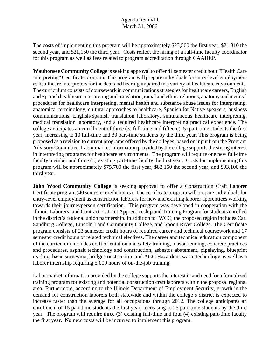The costs of implementing this program will be approximately \$23,500 the first year, \$21,310 the second year, and \$21,150 the third year. Costs reflect the hiring of a full-time faculty coordinator for this program as well as fees related to program accreditation through CAAHEP.

**Waubonsee Community College** is seeking approval to offer 41 semester credit hour "Health Care Interpreting" Certificate program. This program will prepare individuals for entry-level employment as healthcare interpreters for the deaf and hearing impaired in a variety of healthcare environments. The curriculum consists of coursework in communications strategies for healthcare careers, English and Spanish healthcare interpreting and translation, racial and ethnic relations, anatomy and medical procedures for healthcare interpreting, mental health and substance abuse issues for interpreting, anatomical terminology, cultural approaches to healthcare, Spanish for Native speakers, business communications, English/Spanish translation laboratory, simultaneous healthcare interpreting, medical translation laboratory, and a required healthcare interpreting practical experience. The college anticipates an enrollment of three (3) full-time and fifteen (15) part-time students the first year, increasing to 10 full-time and 30 part-time students by the third year. This program is being proposed as a revision to current programs offered by the colleges, based on input from the Program Advisory Committee. Labor market information provided by the college supports the strong interest in interpreting programs for healthcare environments. The program will require one new full-time faculty member and three (3) existing part-time faculty the first year. Costs for implementing this program will be approximately \$75,700 the first year, \$82,150 the second year, and \$93,100 the third year.

**John Wood Community College** is seeking approval to offer a Construction Craft Laborer Certificate program (40 semester credit hours). The certificate program will prepare individuals for entry-level employment as construction laborers for new and existing laborer apprentices working towards their journeyperson certification. This program was developed in cooperation with the Illinois Laborers' and Contractors Joint Apprenticeship and Training Program for students enrolled in the district's regional union partnership. In addition to JWCC, the proposed region includes Carl Sandburg College, Lincoln Land Community College, and Spoon River College. The Certificate program consists of 23 semester credit hours of required career and technical coursework and 17 semester credit hours of related technical electives. The career and technical education component of the curriculum includes craft orientation and safety training, mason tending, concrete practices and procedures, asphalt technology and construction, asbestos abatement, pipelaying, blueprint reading, basic surveying, bridge construction, and AGC Hazardous waste technology as well as a laborer internship requiring 5,000 hours of on-the-job training.

Labor market information provided by the college supports the interest in and need for a formalized training program for existing and potential construction craft laborers within the proposal regional area. Furthermore, according to the Illinois Department of Employment Security, growth in the demand for construction laborers both statewide and within the college's district is expected to increase faster than the average for all occupations through 2012. The college anticipates an enrollment of 15 part-time students the first year, increasing to 25 part-time students by the third year. The program will require three (3) existing full-time and four (4) existing part-time faculty the first year. No new costs will be incurred to implement this program.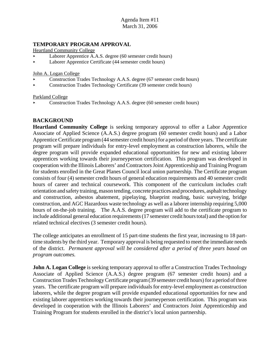# **TEMPORARY PROGRAM APPROVAL**

Heartland Community College

- Laborer Apprentice A.A.S. degree (60 semester credit hours)
- < Laborer Apprentice Certificate (44 semester credit hours)

John A. Logan College

- < Construction Trades Technology A.A.S. degree (67 semester credit hours)
- < Construction Trades Technology Certificate (39 semester credit hours)

Parkland College

< Construction Trades Technology A.A.S. degree (60 semester credit hours)

# **BACKGROUND**

**Heartland Community College** is seeking temporary approval to offer a Labor Apprentice Associate of Applied Science (A.A.S.) degree program (60 semester credit hours) and a Labor Apprentice Certificate program (44 semester credit hours) for a period of three years. The certificate program will prepare individuals for entry-level employment as construction laborers, while the degree program will provide expanded educational opportunities for new and existing laborer apprentices working towards their journeyperson certification. This program was developed in cooperation with the Illinois Laborers' and Contractors Joint Apprenticeship and Training Program for students enrolled in the Great Planes Council local union partnership. The Certificate program consists of four (4) semester credit hours of general education requirements and 40 semester credit hours of career and technical coursework. This component of the curriculum includes craft orientation and safety training, mason tending, concrete practices and procedures, asphalt technology and construction, asbestos abatement, pipelaying, blueprint reading, basic surveying, bridge construction, and AGC Hazardous waste technology as well as a laborer internship requiring 5,000 hours of on-the-job training. The A.A.S. degree program will add to the certificate program to include additional general education requirements (17 semester credit hours total) and the option for related technical electives (3 semester credit hours).

The college anticipates an enrollment of 15 part-time students the first year, increasing to 18 parttime students by the third year. Temporary approval is being requested to meet the immediate needs of the district. *Permanent approval will be considered after a period of three years based on program outcomes.* 

**John A. Logan College** is seeking temporary approval to offer a Construction Trades Technology Associate of Applied Science (A.A.S.) degree program (67 semester credit hours) and a Construction Trades Technology Certificate program (39 semester credit hours) for a period of three years. The certificate program will prepare individuals for entry-level employment as construction laborers, while the degree program will provide expanded educational opportunities for new and existing laborer apprentices working towards their journeyperson certification. This program was developed in cooperation with the Illinois Laborers' and Contractors Joint Apprenticeship and Training Program for students enrolled in the district's local union partnership.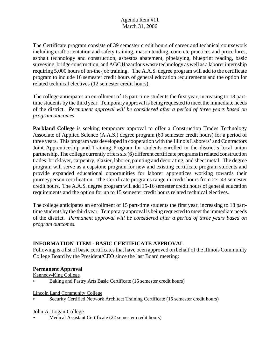The Certificate program consists of 39 semester credit hours of career and technical coursework including craft orientation and safety training, mason tending, concrete practices and procedures, asphalt technology and construction, asbestos abatement, pipelaying, blueprint reading, basic surveying, bridge construction, and AGC Hazardous waste technology as well as a laborer internship requiring 5,000 hours of on-the-job training. The A.A.S. degree program will add to the certificate program to include 16 semester credit hours of general education requirements and the option for related technical electives (12 semester credit hours).

The college anticipates an enrollment of 15 part-time students the first year, increasing to 18 parttime students by the third year. Temporary approval is being requested to meet the immediate needs of the district. *Permanent approval will be considered after a period of three years based on program outcomes.* 

**Parkland College** is seeking temporary approval to offer a Construction Trades Technology Associate of Applied Science (A.A.S.) degree program (60 semester credit hours) for a period of three years. This program was developed in cooperation with the Illinois Laborers' and Contractors Joint Apprenticeship and Training Program for students enrolled in the district's local union partnership. The college currently offers six (6) different certificate programs in related construction trades: bricklayer, carpentry, glazier, laborer, painting and decorating, and sheet metal. The degree program will serve as a capstone program for new and existing certificate program students and provide expanded educational opportunities for laborer apprentices working towards their journeyperson certification. The Certificate programs range in credit hours from 27- 43 semester credit hours. The A.A.S. degree program will add 15-16 semester credit hours of general education requirements and the option for up to 15 semester credit hours related technical electives.

The college anticipates an enrollment of 15 part-time students the first year, increasing to 18 parttime students by the third year. Temporary approval is being requested to meet the immediate needs of the district. *Permanent approval will be considered after a period of three years based on program outcomes.* 

# **INFORMATION ITEM - BASIC CERTIFICATE APPROVAL**

Following is a list of basic certificates that have been approved on behalf of the Illinois Community College Board by the President/CEO since the last Board meeting:

# **Permanent Approval**

Kennedy-King College

< Baking and Pastry Arts Basic Certificate (15 semester credit hours)

Lincoln Land Community College

< Security Certified Network Architect Training Certificate (15 semester credit hours)

# John A. Logan College

Medical Assistant Certificate (22 semester credit hours)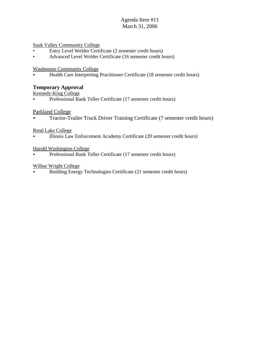Sauk Valley Community College

- Entry Level Welder Certificate (2 semester credit hours)
- Advanced Level Welder Certificate (16 semester credit hours)

Waubonsee Community College

< Health Care Interpreting Practitioner Certificate (18 semester credit hours)

#### **Temporary Approval**

Kennedy-King College

< Professional Bank Teller Certificate (17 semester credit hours)

#### Parkland College

**Tractor-Trailer Truck Driver Training Certificate (7 semester credit hours)** 

#### Rend Lake College

< Illinois Law Enforcement Academy Certificate (20 semester credit hours)

#### Harold Washington College

< Professional Bank Teller Certificate (17 semester credit hours)

#### Wilbur Wright College

< Building Energy Technologies Certificate (21 semester credit hours)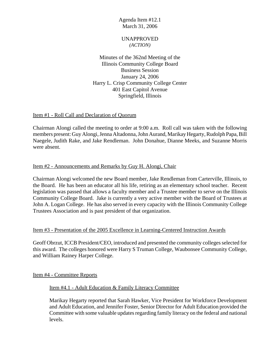#### UNAPPROVED *(ACTION)*

Minutes of the 362nd Meeting of the Illinois Community College Board Business Session January 24, 2006 Harry L. Crisp Community College Center 401 East Capitol Avenue Springfield, Illinois

## Item #1 - Roll Call and Declaration of Quorum

Chairman Alongi called the meeting to order at 9:00 a.m. Roll call was taken with the following members present: Guy Alongi, Jenna Altadonna, John Aurand, Marikay Hegarty, Rudolph Papa, Bill Naegele, Judith Rake, and Jake Rendleman. John Donahue, Dianne Meeks, and Suzanne Morris were absent.

## Item #2 - Announcements and Remarks by Guy H. Alongi, Chair

Chairman Alongi welcomed the new Board member, Jake Rendleman from Carterville, Illinois, to the Board. He has been an educator all his life, retiring as an elementary school teacher. Recent legislation was passed that allows a faculty member and a Trustee member to serve on the Illinois Community College Board. Jake is currently a very active member with the Board of Trustees at John A. Logan College. He has also served in every capacity with the Illinois Community College Trustees Association and is past president of that organization.

#### Item #3 - Presentation of the 2005 Excellence in Learning-Centered Instruction Awards

Geoff Obrzut, ICCB President/CEO, introduced and presented the community colleges selected for this award. The colleges honored were Harry S Truman College, Waubonsee Community College, and William Rainey Harper College.

Item #4 - Committee Reports

Item #4.1 - Adult Education & Family Literacy Committee

Marikay Hegarty reported that Sarah Hawker, Vice President for Workforce Development and Adult Education, and Jennifer Foster, Senior Director for Adult Education provided the Committee with some valuable updates regarding family literacy on the federal and national levels.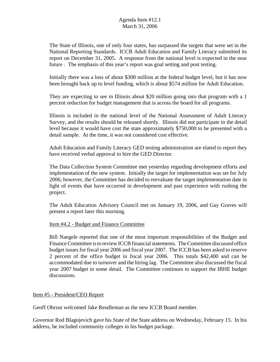The State of Illinois, one of only four states, has surpassed the targets that were set in the National Reporting Standards. ICCB Adult Education and Family Literacy submitted its report on December 31, 2005. A response from the national level is expected in the near future . The emphasis of this year's report was goal setting and post testing.

Initially there was a loss of about \$300 million at the federal budget level, but it has now been brought back up to level funding, which is about \$574 million for Adult Education.

They are expecting to see in Illinois about \$20 million going into that program with a 1 percent reduction for budget management that is across the board for all programs.

Illinois is included in the national level of the National Assessment of Adult Literacy Survey, and the results should be released shortly. Illinois did not participate in the detail level because it would have cost the state approximately \$750,000 to be presented with a detail sample. At the time, it was not considered cost effective.

Adult Education and Family Literacy GED testing administration are elated to report they have received verbal approval to hire the GED Director.

The Data Collection System Committee met yesterday regarding development efforts and implementation of the new system. Initially the target for implementation was set for July 2006; however, the Committee has decided to reevaluate the target implementation date in light of events that have occurred in development and past experience with rushing the project.

The Adult Education Advisory Council met on January 19, 2006, and Gay Graves will present a report later this morning.

#### Item #4.2 - Budget and Finance Committee

Bill Naegele reported that one of the most important responsibilities of the Budget and Finance Committee is to review ICCB financial statements. The Committee discussed office budget issues for fiscal year 2006 and fiscal year 2007. The ICCB has been asked to reserve 2 percent of the office budget in fiscal year 2006. This totals \$42,400 and can be accommodated due to turnover and the hiring lag. The Committee also discussed the fiscal year 2007 budget in some detail. The Committee continues to support the IBHE budget discussions.

#### Item #5 - President/CEO Report

Geoff Obrzut welcomed Jake Rendleman as the new ICCB Board member.

Governor Rod Blagojevich gave his State of the State address on Wednesday, February 15. In his address, he included community colleges in his budget package.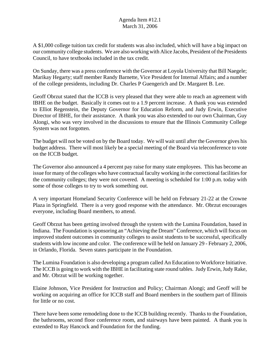A \$1,000 college tuition tax credit for students was also included, which will have a big impact on our community college students. We are also working with Alice Jacobs, President of the Presidents Council, to have textbooks included in the tax credit.

On Sunday, there was a press conference with the Governor at Loyola University that Bill Naegele; Marikay Hegarty; staff member Randy Barnette, Vice President for Internal Affairs; and a number of the college presidents, including Dr. Charles P Guengerich and Dr. Margaret B. Lee.

Geoff Obrzut stated that the ICCB is very pleased that they were able to reach an agreement with IBHE on the budget. Basically it comes out to a 1.9 percent increase. A thank you was extended to Elliot Regenstein, the Deputy Governor for Education Reform, and Judy Erwin, Executive Director of IBHE, for their assistance. A thank you was also extended to our own Chairman, Guy Alongi, who was very involved in the discussions to ensure that the Illinois Community College System was not forgotten.

The budget will not be voted on by the Board today. We will wait until after the Governor gives his budget address. There will most likely be a special meeting of the Board via teleconference to vote on the ICCB budget.

The Governor also announced a 4 percent pay raise for many state employees. This has become an issue for many of the colleges who have contractual faculty working in the correctional facilities for the community colleges; they were not covered. A meeting is scheduled for 1:00 p.m. today with some of those colleges to try to work something out.

A very important Homeland Security Conference will be held on February 21-22 at the Crowne Plaza in Springfield. There is a very good response with the attendance. Mr. Obrzut encourages everyone, including Board members, to attend.

Geoff Obrzut has been getting involved through the system with the Lumina Foundation, based in Indiana. The Foundation is sponsoring an "Achieving the Dream" Conference, which will focus on improved student outcomes in community colleges to assist students to be successful, specifically students with low income and color. The conference will be held on January 29 - February 2, 2006, in Orlando, Florida. Seven states participate in the Foundation.

The Lumina Foundation is also developing a program called An Education to Workforce Initiative. The ICCB is going to work with the IBHE in facilitating state round tables. Judy Erwin, Judy Rake, and Mr. Obrzut will be working together.

Elaine Johnson, Vice President for Instruction and Policy; Chairman Alongi; and Geoff will be working on acquiring an office for ICCB staff and Board members in the southern part of Illinois for little or no cost.

There have been some remodeling done to the ICCB building recently. Thanks to the Foundation, the bathrooms, second floor conference room, and stairways have been painted. A thank you is extended to Ray Hancock and Foundation for the funding.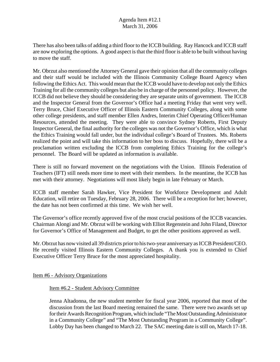There has also been talks of adding a third floor to the ICCB building. Ray Hancock and ICCB staff are now exploring the options. A good aspect is that the third floor is able to be built without having to move the staff.

Mr. Obrzut also mentioned the Attorney General gave their opinion that all the community colleges and their staff would be included with the Illinois Community College Board Agency when following the Ethics Act. This would mean that the ICCB would have to develop not only the Ethics Training for all the community colleges but also be in charge of the personnel policy. However, the ICCB did not believe they should be considering they are separate units of government. The ICCB and the Inspector General from the Governor's Office had a meeting Friday that went very well. Terry Bruce, Chief Executive Officer of Illinois Eastern Community Colleges, along with some other college presidents, and staff member Ellen Andres, Interim Chief Operating Officer/Human Resources, attended the meeting. They were able to convince Sydney Roberts, First Deputy Inspector General, the final authority for the colleges was not the Governor's Office, which is what the Ethics Training would fall under, but the individual college's Board of Trustees. Ms. Roberts realized the point and will take this information to her boss to discuss. Hopefully, there will be a proclamation written excluding the ICCB from completing Ethics Training for the college's personnel. The Board will be updated as information is available.

There is still no forward movement on the negotiations with the Union. Illinois Federation of Teachers (IFT) still needs more time to meet with their members. In the meantime, the ICCB has met with their attorney. Negotiations will most likely begin in late February or March.

ICCB staff member Sarah Hawker, Vice President for Workforce Development and Adult Education, will retire on Tuesday, February 28, 2006. There will be a reception for her; however, the date has not been confirmed at this time. We wish her well.

The Governor's office recently approved five of the most crucial positions of the ICCB vacancies. Chairman Alongi and Mr. Obrzut will be working with Elliot Regenstein and John Filand, Director for Governor's Office of Management and Budget, to get the other positions approved as well.

Mr. Obrzut has now visited all 39 districts prior to his two-year anniversary as ICCB President/CEO. He recently visited Illinois Eastern Community Colleges. A thank you is extended to Chief Executive Officer Terry Bruce for the most appreciated hospitality.

Item #6 - Advisory Organizations

# Item #6.2 - Student Advisory Committee

Jenna Altadonna, the new student member for fiscal year 2006, reported that most of the discussion from the last Board meeting remained the same. There were two awards set up for their Awards Recognition Program, which include "The Most Outstanding Administrator in a Community College" and "The Most Outstanding Program in a Community College". Lobby Day has been changed to March 22. The SAC meeting date is still on, March 17-18.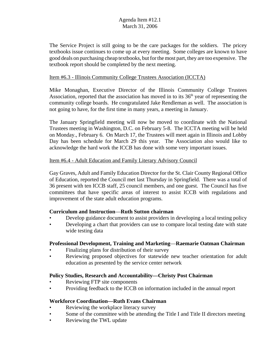The Service Project is still going to be the care packages for the soldiers. The pricey textbooks issue continues to come up at every meeting. Some colleges are known to have good deals on purchasing cheap textbooks, but for the most part, they are too expensive. The textbook report should be completed by the next meeting.

#### Item #6.3 - Illinois Community College Trustees Association (ICCTA)

Mike Monaghan, Executive Director of the Illinois Community College Trustees Association, reported that the association has moved in to its  $36<sup>th</sup>$  year of representing the community college boards. He congratulated Jake Rendleman as well. The association is not going to have, for the first time in many years, a meeting in January.

The January Springfield meeting will now be moved to coordinate with the National Trustees meeting in Washington, D.C. on February 5-8. The ICCTA meeting will be held on Monday., February 6. On March 17, the Trustees will meet again in Illinois and Lobby Day has been schedule for March 29 this year. The Association also would like to acknowledge the hard work the ICCB has done with some very important issues.

## Item #6.4 - Adult Education and Family Literary Advisory Council

Gay Graves, Adult and Family Education Director for the St. Clair County Regional Office of Education, reported the Council met last Thursday in Springfield. There was a total of 36 present with ten ICCB staff, 25 council members, and one guest. The Council has five committees that have specific areas of interest to assist ICCB with regulations and improvement of the state adult education programs.

# **Curriculum and Instruction**—**Ruth Sutton chairman**

- Develop guidance document to assist providers in developing a local testing policy
- Developing a chart that providers can use to compare local testing date with state wide testing data

#### **Professional Development, Training and Marketing**—**Raemarie Oatman Chairman**

- Finalizing plans for distribution of their survey
- Reviewing proposed objectives for statewide new teacher orientation for adult education as presented by the service center network

#### **Policy Studies, Research and Accountability—Christy Post Chairman**

- Reviewing FTP site components
- Providing feedback to the ICCB on information included in the annual report

#### **Workforce Coordination—Ruth Evans Chairman**

- Reviewing the workplace literacy survey
- Some of the committee with be attending the Title I and Title II directors meeting
- Reviewing the TWL update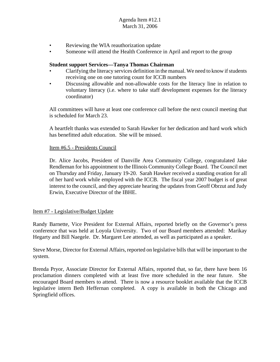- Reviewing the WIA reauthorization update
- Someone will attend the Health Conference in April and report to the group

#### **Student support Services—Tanya Thomas Chairman**

- Clarifying the literacy services definition in the manual. We need to know if students receiving one on one tutoring count for ICCB numbers
- Discussing allowable and non-allowable costs for the literacy line in relation to voluntary literacy (i.e. where to take staff development expenses for the literacy coordinator)

All committees will have at least one conference call before the next council meeting that is scheduled for March 23.

A heartfelt thanks was extended to Sarah Hawker for her dedication and hard work which has benefitted adult education. She will be missed.

#### Item #6.5 - Presidents Council

Dr. Alice Jacobs, President of Danville Area Community College, congratulated Jake Rendleman for his appointment to the Illinois Community College Board. The Council met on Thursday and Friday, January 19-20. Sarah Hawker received a standing ovation for all of her hard work while employed with the ICCB. The fiscal year 2007 budget is of great interest to the council, and they appreciate hearing the updates from Geoff Obrzut and Judy Erwin, Executive Director of the IBHE.

#### Item #7 - Legislative/Budget Update

Randy Barnette, Vice President for External Affairs, reported briefly on the Governor's press conference that was held at Loyola University. Two of our Board members attended: Marikay Hegarty and Bill Naegele. Dr. Margaret Lee attended, as well as participated as a speaker.

Steve Morse, Director for External Affairs, reported on legislative bills that will be important to the system.

Brenda Pryor, Associate Director for External Affairs, reported that, so far, there have been 16 proclamation dinners completed with at least five more scheduled in the near future. She encouraged Board members to attend. There is now a resource booklet available that the ICCB legislative intern Beth Heffernan completed. A copy is available in both the Chicago and Springfield offices.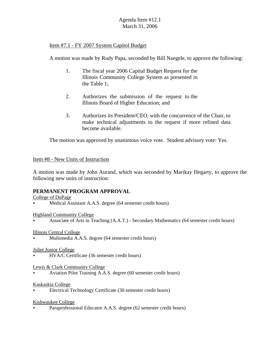# Item #7.1 - FY 2007 System Capitol Budget

A motion was made by Rudy Papa, seconded by Bill Naegele, to approve the following:

- 1. The fiscal year 2006 Capital Budget Request for the Illinois Community College System as presented in the Table 1;
- 2. Authorizes the submission of the request to the Illinois Board of Higher Education; and
- 3. Authorizes its President/CEO, with the concurrence of the Chair, to make technical adjustments to the request if more refined data become available.

The motion was approved by unanimous voice vote. Student advisory vote: Yes.

#### Item #8 - New Units of Instruction

A motion was made by John Aurand, which was seconded by Marikay Hegarty, to approve the following new units of instruction:

# **PERMANENT PROGRAM APPROVAL**

College of DuPage

- Medical Assistant A.A.S. degree (64 semester credit hours)
- Highland Community College
- < Associate of Arts in Teaching (A.A.T.) Secondary Mathematics (64 semester credit hours)

Illinois Central College

< Multimedia A.A.S. degree (64 semester credit hours)

Joliet Junior College

< HVA/C Certificate (36 semester credit hours)

Lewis & Clark Community College

< Aviation Pilot Training A.A.S. degree (60 semester credit hours)

#### Kaskaskia College

< Electrical Technology Certificate (30 semester credit hours)

#### Kishwaukee College

Paraprofessional Educator A.A.S. degree (62 semester credit hours)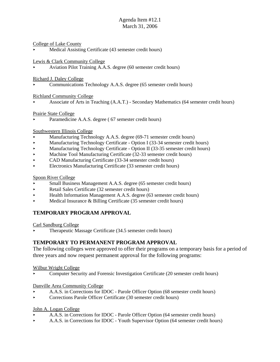#### College of Lake County

< Medical Assisting Certificate (43 semester credit hours)

Lewis & Clark Community College

< Aviation Pilot Training A.A.S. degree (60 semester credit hours)

Richard J. Daley College

< Communications Technology A.A.S. degree (65 semester credit hours)

#### Richland Community College

< Associate of Arts in Teaching (A.A.T.) - Secondary Mathematics (64 semester credit hours)

#### Prairie State College

Paramedicine A.A.S. degree (67 semester credit hours)

#### Southwestern Illinois College

- Manufacturing Technology A.A.S. degree (69-71 semester credit hours)
- **Example 2** Manufacturing Technology Certificate Option I (33-34 semester credit hours)
- Manufacturing Technology Certificate Option II (33-35 semester credit hours)
- < Machine Tool Manufacturing Certificate (32-33 semester credit hours)
- < CAD Manufacturing Certificate (33-34 semester credit hours)
- < Electronics Manufacturing Certificate (33 semester credit hours)

#### Spoon River College

- Small Business Management A.A.S. degree (65 semester credit hours)
- < Retail Sales Certificate (32 semester credit hours)
- < Health Information Management A.A.S. degree (63 semester credit hours)
- $\blacktriangleright$  Medical Insurance & Billing Certificate (35 semester credit hours)

# **TEMPORARY PROGRAM APPROVAL**

Carl Sandburg College

< Therapeutic Massage Certificate (34.5 semester credit hours)

# **TEMPORARY TO PERMANENT PROGRAM APPROVAL**

The following colleges were approved to offer their programs on a temporary basis for a period of three years and now request permanent approval for the following programs:

Wilbur Wright College

< Computer Security and Forensic Investigation Certificate (20 semester credit hours)

#### Danville Area Community College

- < A.A.S. in Corrections for IDOC Parole Officer Option (68 semester credit hours)
- < Corrections Parole Officer Certificate (30 semester credit hours)

#### John A. Logan College

- < A.A.S. in Corrections for IDOC Parole Officer Option (64 semester credit hours)
- < A.A.S. in Corrections for IDOC Youth Supervisor Option (64 semester credit hours)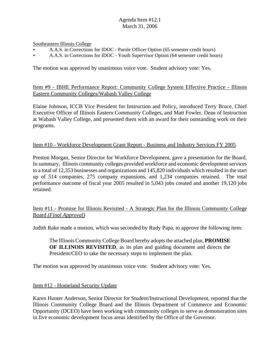Southeastern Illinois College

- < A.A.S. in Corrections for IDOC Parole Officer Option (65 semester credit hours)
- < A.A.S. in Corrections for IDOC Youth Supervisor Option (64 semester credit hours)

The motion was approved by unanimous voice vote. Student advisory vote: Yes.

## Item #9 - IBHE Performance Report: Community College System Effective Practice - Illinois Eastern Community Colleges/Wabash Valley College

Elaine Johnson, ICCB Vice President for Instruction and Policy, introduced Terry Bruce, Chief Executive Officer of Illinois Eastern Community Colleges, and Matt Fowler, Dean of Instruction at Wabash Valley College, and presented them with an award for their outstanding work on their programs.

## Item #10 - Workforce Development Grant Report - Business and Industry Services FY 2005

Preston Morgan, Senior Director for Workforce Development, gave a presentation for the Board. In summary, Illinois community colleges provided workforce and economic development services to a total of 12,353 businesses and organizations and 145,820 individuals which resulted in the start up of 514 companies, 275 company expansions, and 1,234 companies retained. The total performance outcome of fiscal year 2005 resulted in 5,043 jobs created and another 19,120 jobs retained.

# Item #11 - Promise for Illinois Revisited - A Strategic Plan for the Illinois Community College Board *(Final Approval)*

Judith Rake made a motion, which was seconded by Rudy Papa, to approve the following item:

The Illinois Community College Board hereby adopts the attached plan, **PROMISE OF ILLINOIS REVISITED**, as its plan and guiding document and directs the President/CEO to take the necessary steps to implement the plan.

The motion was approved by unanimous voice vote. Student advisory vote: Yes.

#### Item #12 - Homeland Security Update

Karen Hunter Anderson, Senior Director for Student/Instructional Development, reported that the Illinois Community College Board and the Illinois Department of Commerce and Economic Opportunity (DCEO) have been working with community colleges to serve as demonstration sites in five economic development focus areas identified by the Office of the Governor.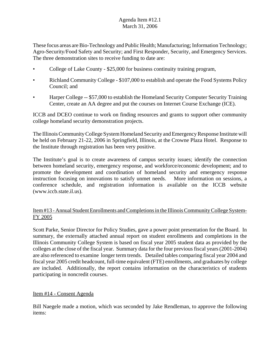These focus areas are Bio-Technology and Public Health; Manufacturing; Information Technology; Agro-Security/Food Safety and Security; and First Responder, Security, and Emergency Services. The three demonstration sites to receive funding to date are:

- College of Lake County \$25,000 for business continuity training program,
- Richland Community College \$107,000 to establish and operate the Food Systems Policy Council; and
- Harper College -- \$57,000 to establish the Homeland Security Computer Security Training Center, create an AA degree and put the courses on Internet Course Exchange (ICE).

ICCB and DCEO continue to work on finding resources and grants to support other community college homeland security demonstration projects.

The Illinois Community College System Homeland Security and Emergency Response Institute will be held on February 21-22, 2006 in Springfield, Illinois, at the Crowne Plaza Hotel. Response to the Institute through registration has been very positive.

The Institute's goal is to create awareness of campus security issues; identify the connection between homeland security, emergency response, and workforce/economic development; and to promote the development and coordination of homeland security and emergency response instruction focusing on innovations to satisfy unmet needs. More information on sessions, a conference schedule, and registration information is available on the ICCB website (www.iccb.state.il.us).

# Item #13 - Annual Student Enrollments and Completions in the Illinois Community College System-FY 2005

Scott Parke, Senior Director for Policy Studies, gave a power point presentation for the Board. In summary, the externally attached annual report on student enrollments and completions in the Illinois Community College System is based on fiscal year 2005 student data as provided by the colleges at the close of the fiscal year. Summary data for the four previous fiscal years (2001-2004) are also referenced to examine longer term trends. Detailed tables comparing fiscal year 2004 and fiscal year 2005 credit headcount, full-time equivalent (FTE) enrollments, and graduates by college are included. Additionally, the report contains information on the characteristics of students participating in noncredit courses.

# Item #14 - Consent Agenda

Bill Naegele made a motion, which was seconded by Jake Rendleman, to approve the following items: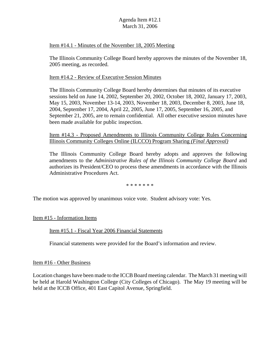#### Item #14.1 - Minutes of the November 18, 2005 Meeting

The Illinois Community College Board hereby approves the minutes of the November 18, 2005 meeting, as recorded.

#### Item #14.2 - Review of Executive Session Minutes

The Illinois Community College Board hereby determines that minutes of its executive sessions held on June 14, 2002, September 20, 2002, October 18, 2002, January 17, 2003, May 15, 2003, November 13-14, 2003, November 18, 2003, December 8, 2003, June 18, 2004, September 17, 2004, April 22, 2005, June 17, 2005, September 16, 2005, and September 21, 2005, are to remain confidential. All other executive session minutes have been made available for public inspection.

Item #14.3 - Proposed Amendments to Illinois Community College Rules Concerning Illinois Community Colleges Online (ILCCO) Program Sharing *(Final Approval)*

The Illinois Community College Board hereby adopts and approves the following amendments to the *Administrative Rules of the Illinois Community College Board* and authorizes its President/CEO to process these amendments in accordance with the Illinois Administrative Procedures Act.

\* \* \* \* \* \* \*

The motion was approved by unanimous voice vote. Student advisory vote: Yes.

Item #15 - Information Items

Item #15.1 - Fiscal Year 2006 Financial Statements

Financial statements were provided for the Board's information and review.

#### Item #16 - Other Business

Location changes have been made to the ICCB Board meeting calendar. The March 31 meeting will be held at Harold Washington College (City Colleges of Chicago). The May 19 meeting will be held at the ICCB Office, 401 East Capitol Avenue, Springfield.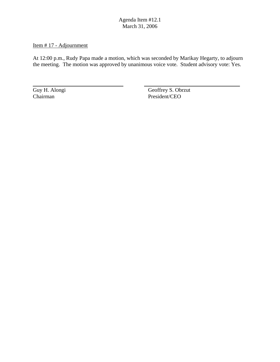# Item # 17 - Adjournment

At 12:00 p.m., Rudy Papa made a motion, which was seconded by Marikay Hegarty, to adjourn the meeting. The motion was approved by unanimous voice vote. Student advisory vote: Yes.

 $\overline{a}$ 

Guy H. Alongi<br>Chairman Geoffrey S. Obrzut<br>Chairman President/CEO President/CEO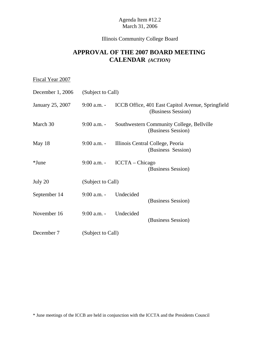# Illinois Community College Board

# **APPROVAL OF THE 2007 BOARD MEETING CALENDAR** *(ACTION)*

| Fiscal Year 2007 |                       |                   |                                                                         |
|------------------|-----------------------|-------------------|-------------------------------------------------------------------------|
| December 1, 2006 | (Subject to Call)     |                   |                                                                         |
| January 25, 2007 | $9:00$ a.m. -         |                   | ICCB Office, 401 East Capitol Avenue, Springfield<br>(Business Session) |
| March 30         | $9:00$ a.m. -         |                   | Southwestern Community College, Bellville<br>(Business Session)         |
| May 18           | $9:00$ a.m. -         |                   | Illinois Central College, Peoria<br>(Business Session)                  |
| $*$ June         | $9:00$ a.m. -         | $ICCTA - Chicago$ | (Business Session)                                                      |
| July 20          | (Subject to Call)     |                   |                                                                         |
| September 14     | 9:00 a.m. - Undecided |                   | (Business Session)                                                      |
| November 16      | $9:00$ a.m. -         | Undecided         | (Business Session)                                                      |
| December 7       | (Subject to Call)     |                   |                                                                         |

\* June meetings of the ICCB are held in conjunction with the ICCTA and the Presidents Council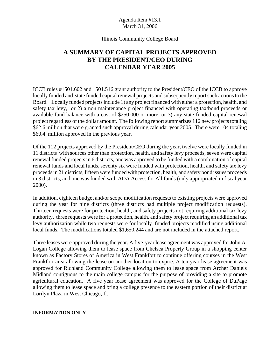#### Illinois Community College Board

# **A SUMMARY OF CAPITAL PROJECTS APPROVED BY THE PRESIDENT/CEO DURING CALENDAR YEAR 2005**

ICCB rules #1501.602 and 1501.516 grant authority to the President/CEO of the ICCB to approve locally funded and state funded capital renewal projects and subsequently report such actions to the Board. Locally funded projects include 1) any project financed with either a protection, health, and safety tax levy, or 2) a non maintenance project financed with operating tax/bond proceeds or available fund balance with a cost of \$250,000 or more, or 3) any state funded capital renewal project regardless of the dollar amount. The following report summarizes 112 new projects totaling \$62.6 million that were granted such approval during calendar year 2005. There were 104 totaling \$60.4 million approved in the previous year.

Of the 112 projects approved by the President/CEO during the year, twelve were locally funded in 11 districts with sources other than protection, health, and safety levy proceeds, seven were capital renewal funded projects in 6 districts, one was approved to be funded with a combination of capital renewal funds and local funds, seventy six were funded with protection, health, and safety tax levy proceeds in 21 districts, fifteen were funded with protection, health, and safety bond issues proceeds in 3 districts, and one was funded with ADA Access for All funds (only appropriated in fiscal year 2000).

In addition, eighteen budget and/or scope modification requests to existing projects were approved during the year for nine districts (three districts had multiple project modification requests). Thirteen requests were for protection, health, and safety projects not requiring additional tax levy authority, three requests were for a protection, health, and safety project requiring an additional tax levy authorization while two requests were for locally funded projects modified using additional local funds. The modifications totaled \$1,650,244 and are not included in the attached report.

Three leases were approved during the year. A five year lease agreement was approved for John A. Logan College allowing them to lease space from Chelsea Property Group in a shopping center known as Factory Stores of America in West Frankfort to continue offering courses in the West Frankfort area allowing the lease on another location to expire. A ten year lease agreement was approved for Richland Community College allowing them to lease space from Archer Daniels Midland contiguous to the main college campus for the purpose of providing a site to promote agricultural education. A five year lease agreement was approved for the College of DuPage allowing them to lease space and bring a college presence to the eastern portion of their district at Lorilyn Plaza in West Chicago, Il.

#### **INFORMATION ONLY**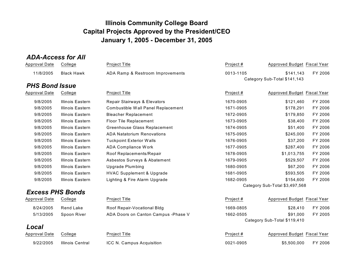# *ADA-Access for All*

| <b>Approval Date</b>    | College                 | <b>Project Title</b>                 | Project # | Approved Budget Fiscal Year    |         |
|-------------------------|-------------------------|--------------------------------------|-----------|--------------------------------|---------|
| 11/8/2005               | <b>Black Hawk</b>       | ADA Ramp & Restroom Improvements     | 0013-1105 | \$141,143                      | FY 2006 |
|                         |                         |                                      |           | Category Sub-Total \$141,143   |         |
| <b>PHS Bond Issue</b>   |                         |                                      |           |                                |         |
| <b>Approval Date</b>    | College                 | <b>Project Title</b>                 | Project # | Approved Budget Fiscal Year    |         |
| 9/8/2005                | Illinois Eastern        | Repair Stairways & Elevators         | 1670-0905 | \$121,460                      | FY 2006 |
| 9/8/2005                | <b>Illinois Eastern</b> | Combustible Wall Panel Replacement   | 1671-0905 | \$178,291                      | FY 2006 |
| 9/8/2005                | <b>Illinois Eastern</b> | <b>Bleacher Replacement</b>          | 1672-0905 | \$179,850                      | FY 2006 |
| 9/8/2005                | Illinois Eastern        | Floor Tile Replacement               | 1673-0905 | \$38,400                       | FY 2006 |
| 9/8/2005                | <b>Illinois Eastern</b> | Greenhouse Glass Replacement         | 1674-0905 | \$51,400                       | FY 2006 |
| 9/8/2005                | Illinois Eastern        | <b>ADA Natatorium Renovations</b>    | 1675-0905 | \$245,000                      | FY 2006 |
| 9/8/2005                | <b>Illinois Eastern</b> | <b>Tuckpoint Exterior Walls</b>      | 1676-0905 | \$37,200                       | FY 2006 |
| 9/8/2005                | <b>Illinois Eastern</b> | <b>ADA Compliance Work</b>           | 1677-0905 | \$287,400                      | FY 2006 |
| 9/8/2005                | Illinois Eastern        | Roof Replacements/Repair             | 1678-0905 | \$1,013,755                    | FY 2006 |
| 9/8/2005                | <b>Illinois Eastern</b> | Asbestos Surveys & Abatement         | 1679-0905 | \$529,507                      | FY 2006 |
| 9/8/2005                | Illinois Eastern        | <b>Upgrade Plumbing</b>              | 1680-0905 | \$67,200                       | FY 2006 |
| 9/8/2005                | <b>Illinois Eastern</b> | <b>HVAC Supplement &amp; Upgrade</b> | 1681-0905 | \$593,505                      | FY 2006 |
| 9/8/2005                | <b>Illinois Eastern</b> | Lighting & Fire Alarm Upgrade        | 1682-0905 | \$154,600                      | FY 2006 |
|                         |                         |                                      |           | Category Sub-Total \$3,497,568 |         |
| <b>Excess PHS Bonds</b> |                         |                                      |           |                                |         |
| <b>Approval Date</b>    | College                 | Project Title                        | Project # | Approved Budget Fiscal Year    |         |
| 8/24/2005               | Rend Lake               | Roof Repair-Vocational Bldg          | 1669-0805 | \$28,410                       | FY 2006 |
| 5/13/2005               | Spoon River             | ADA Doors on Canton Campus - Phase V | 1662-0505 | \$91.000                       | FY 2005 |
|                         |                         |                                      |           | Category Sub-Total \$119,410   |         |
| Local                   |                         |                                      |           |                                |         |
| <b>Approval Date</b>    | College                 | <b>Project Title</b>                 | Project # | Approved Budget Fiscal Year    |         |
| 9/22/2005               | <b>Illinois Central</b> | ICC N. Campus Acquisition            | 0021-0905 | \$5,500,000                    | FY 2006 |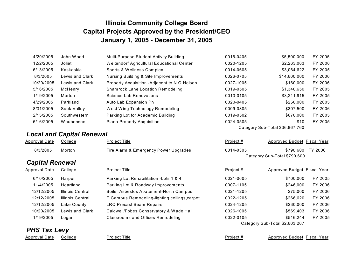| 4/20/2005  | John Wood       | Multi-Purpose Student Activity Building       | 0016-0405 | \$5,500,000                     | FY 2005 |
|------------|-----------------|-----------------------------------------------|-----------|---------------------------------|---------|
| 12/2/2005  | Joliet          | Weitendorf Agricultural Educational Center    | 0020-1205 | \$2,263,063                     | FY 2006 |
| 6/13/2005  | Kaskaskia       | Sports & Wellness Complex                     | 0014-0605 | \$3,064,622                     | FY 2005 |
| 8/3/2005   | Lewis and Clark | Nursing Building & Site Improvements          | 0026-0705 | \$14,600,000                    | FY 2006 |
| 10/20/2005 | Lewis and Clark | Property Acquisition - Adjacent to N.O Nelson | 0027-1005 | \$160,000                       | FY 2006 |
| 5/16/2005  | McHenry         | <b>Shamrock Lane Location Remodeling</b>      | 0019-0505 | \$1,340,650                     | FY 2005 |
| 1/19/2005  | Morton          | Science Lab Renovations                       | 0013-0105 | \$3.211.915                     | FY 2005 |
| 4/29/2005  | Parkland        | Auto Lab Expansion Ph I                       | 0020-0405 | \$250,000                       | FY 2005 |
| 8/31/2005  | Sauk Valley     | West Wing Technology Remodeling               | 0009-0805 | \$307.500                       | FY 2006 |
| 2/15/2005  | Southwestern    | Parking Lot for Academic Building             | 0019-0502 | \$670,000                       | FY 2005 |
| 5/16/2005  | Waubonsee       | <b>Plano Property Acquisition</b>             | 0024-0505 | \$10                            | FY 2005 |
|            |                 |                                               |           | Category Sub-Total \$36,867,760 |         |

# *Local and Capital Renewal*

| Approval Date | College | Project Title                         | Proiect # | Approved Budget Fiscal Year |                   |
|---------------|---------|---------------------------------------|-----------|-----------------------------|-------------------|
| 8/3/2005      | Morton  | Fire Alarm & Emergency Power Upgrades | 0014-0305 |                             | \$790.600 FY 2006 |

# *Capital Renewal*

| <b>Approval Date</b> | College            | Project Title       |
|----------------------|--------------------|---------------------|
| 6/10/2005            | Harper             | Parking Lot I       |
| 11/4/2005            | Heartland          | Parking Lot         |
| 12/12/2005           | Illinois Central   | <b>Boiler Asbes</b> |
| 12/12/2005           | Illinois Central   | E.Campus R          |
| 12/12/2005           | <b>Lake County</b> | <b>LRC Precast</b>  |
| 10/20/2005           | Lewis and Clark    | Caldwell/Fob        |
| 1/19/2005            | Logan              | Classrooms          |

# *PHS Tax Levy*

| Parking Lot Rehabilitation -Lots 1 & 4       |
|----------------------------------------------|
| Parking Lot & Roadway Improvements           |
| Boiler Asbestos Abatement-North Campus       |
| E.Campus Remodeling-lighting,ceilings,carpet |
| LRC Precast Beam Repairs                     |
| Caldwell/Fobes Conservatory & Wade Hall      |
| <b>Classrooms and Offices Remodeling</b>     |

Approval Date College **Project Title Proved Budget Approved Budget Fiscal Year** Project # Approved Budget Fiscal Year

Category Sub-Total \$790,600

| oroval Date | College                 | <b>Project Title</b>                           | Project#  | Approved Budget Fiscal Year    |         |
|-------------|-------------------------|------------------------------------------------|-----------|--------------------------------|---------|
| 6/10/2005   | Harper                  | Parking Lot Rehabilitation - Lots 1 & 4        | 0021-0605 | \$700,000                      | FY 2005 |
| 11/4/2005   | Heartland               | Parking Lot & Roadway Improvements             | 0007-1105 | \$246,000                      | FY 2006 |
| 12/12/2005  | <b>Illinois Central</b> | Boiler Asbestos Abatement-North Campus         | 0021-1205 | \$75,000                       | FY 2006 |
| 12/12/2005  | <b>Illinois Central</b> | E.Campus Remodeling-lighting, ceilings, carpet | 0022-1205 | \$266,620                      | FY 2006 |
| 12/12/2005  | Lake County             | <b>LRC Precast Beam Repairs</b>                | 0024-1205 | \$230,000                      | FY 2006 |
| 10/20/2005  | Lewis and Clark         | Caldwell/Fobes Conservatory & Wade Hall        | 0026-1005 | \$569,403                      | FY 2006 |
| 1/19/2005   | Logan                   | <b>Classrooms and Offices Remodeling</b>       | 0022-0105 | \$516.244                      | FY 2005 |
|             |                         |                                                |           | Category Sub-Total \$2,603,267 |         |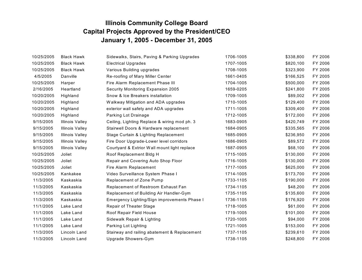| 10/25/2005 | <b>Black Hawk</b>      | Sidewalks, Stairs, Paving & Parking Upgrades | 1706-1005 | \$338,800 | FY 2006 |
|------------|------------------------|----------------------------------------------|-----------|-----------|---------|
| 10/25/2005 | <b>Black Hawk</b>      | <b>Electrical Upgrades</b>                   | 1707-1005 | \$820,100 | FY 2006 |
| 10/25/2005 | <b>Black Hawk</b>      | Various Building upgrades                    | 1708-1005 | \$323,900 | FY 2006 |
| 4/5/2005   | Danville               | Re-roofing of Mary Miller Center             | 1661-0405 | \$166,525 | FY 2005 |
| 10/25/2005 | Harper                 | Fire Alarm Replacement Phase III             | 1704-1005 | \$500,000 | FY 2006 |
| 2/16/2005  | Heartland              | Security Monitoring Expansion 2005           | 1659-0205 | \$241,800 | FY 2005 |
| 10/20/2005 | Highland               | Snow & Ice Breakers installation             | 1709-1005 | \$89,002  | FY 2006 |
| 10/20/2005 | Highland               | Walkway Mitigation and ADA upgrades          | 1710-1005 | \$129,400 | FY 2006 |
| 10/20/2005 | Highland               | exterior wall safety and ADA upgrades        | 1711-1005 | \$309,400 | FY 2006 |
| 10/20/2005 | Highland               | Parking Lot Drainage                         | 1712-1005 | \$172,000 | FY 2006 |
| 9/15/2005  | <b>Illinois Valley</b> | Ceiling, Lighting Replace & wiring mod ph. 3 | 1683-0905 | \$420,749 | FY 2006 |
| 9/15/2005  | <b>Illinois Valley</b> | Stairwell Doors & Hardware replacement       | 1684-0905 | \$335,565 | FY 2006 |
| 9/15/2005  | <b>Illinois Valley</b> | Stage Curtain & Lighting Replacement         | 1685-0905 | \$236,950 | FY 2006 |
| 9/15/2005  | <b>Illinois Valley</b> | Fire Door Upgrade-Lower level corridors      | 1686-0905 | \$89,572  | FY 2006 |
| 9/15/2005  | <b>Illinois Valley</b> | Courtyard & Extrior Wall mount light replace | 1687-0905 | \$68,100  | FY 2006 |
| 10/25/2005 | Joliet                 | Roof Replacement Bldg H                      | 1715-1005 | \$130,000 | FY 2006 |
| 10/25/2005 | Joliet                 | Repair and Covering Auto Shop Floor          | 1716-1005 | \$130,000 | FY 2006 |
| 10/25/2005 | Joliet                 | Fire Alarm Replacement                       | 1717-1005 | \$625,000 | FY 2006 |
| 10/25/2005 | Kankakee               | Video Surveillance System Phase I            | 1714-1005 | \$173,700 | FY 2006 |
| 11/3/2005  | Kaskaskia              | Replacement of Zone Pump                     | 1733-1105 | \$190,000 | FY 2006 |
| 11/3/2005  | Kaskaskia              | Replacement of Restroom Exhaust Fan          | 1734-1105 | \$48,200  | FY 2006 |
| 11/3/2005  | Kaskaskia              | Replacement of Building Air Handler-Gym      | 1735-1105 | \$135,600 | FY 2006 |
| 11/3/2005  | Kaskaskia              | Emergency Lighting/Sign improvements Phase I | 1736-1105 | \$176,920 | FY 2006 |
| 11/1/2005  | Lake Land              | Repair of Theater Stage                      | 1718-1005 | \$61,000  | FY 2006 |
| 11/1/2005  | Lake Land              | Roof Repair Field House                      | 1719-1005 | \$101,000 | FY 2006 |
| 11/1/2005  | Lake Land              | Sidewalk Repair & Lighting                   | 1720-1005 | \$94,000  | FY 2006 |
| 11/1/2005  | Lake Land              | Parking Lot Lighting                         | 1721-1005 | \$153,000 | FY 2006 |
| 11/3/2005  | Lincoln Land           | Stairway and railing abatement & Replacement | 1737-1105 | \$239,610 | FY 2006 |
| 11/3/2005  | Lincoln Land           | Upgrade Showers-Gym                          | 1738-1105 | \$248,800 | FY 2006 |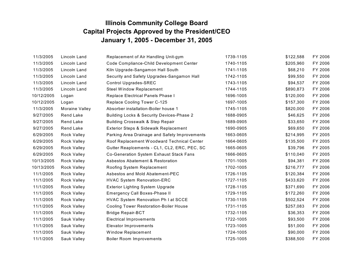| 11/3/2005  | Lincoln Land       | Replacement of Air Handling Unit-gym          | 1739-1105 | \$122,588 | FY 2006 |
|------------|--------------------|-----------------------------------------------|-----------|-----------|---------|
| 11/3/2005  | Lincoln Land       | Code Compliance-Child Development Center      | 1740-1105 | \$205,960 | FY 2006 |
| 11/3/2005  | Lincoln Land       | Kiln Upgrade-Sangamon Hall South              | 1741-1105 | \$68,210  | FY 2006 |
| 11/3/2005  | Lincoln Land       | Security and Safety Upgrades-Sangamon Hall    | 1742-1105 | \$99,550  | FY 2006 |
| 11/3/2005  | Lincoln Land       | <b>Control Upgrades-SREC</b>                  | 1743-1105 | \$94,537  | FY 2006 |
| 11/3/2005  | Lincoln Land       | Steel Window Replacement                      | 1744-1105 | \$890,873 | FY 2006 |
| 10/12/2005 | Logan              | Replace Electrical Panels Phase I             | 1696-1005 | \$120,000 | FY 2006 |
| 10/12/2005 | Logan              | Replace Cooling Tower C-125                   | 1697-1005 | \$157,300 | FY 2006 |
| 11/3/2005  | Moraine Valley     | Absorber installation-Boiler house 1          | 1745-1105 | \$820,000 | FY 2006 |
| 9/27/2005  | <b>Rend Lake</b>   | Building Locks & Security Devices-Phase 2     | 1688-0905 | \$46,625  | FY 2006 |
| 9/27/2005  | <b>Rend Lake</b>   | <b>Building Crosswalk &amp; Step Repair</b>   | 1689-0905 | \$33,650  | FY 2006 |
| 9/27/2005  | <b>Rend Lake</b>   | Exterior Steps & Sidewalk Replacement         | 1690-0905 | \$69,650  | FY 2006 |
| 6/29/2005  | <b>Rock Valley</b> | Parking Area Drainage and Safety Improvements | 1663-0605 | \$214,995 | FY 2005 |
| 6/29/2005  | <b>Rock Valley</b> | Roof Replacement Woodward Technical Center    | 1664-0605 | \$135,500 | FY 2005 |
| 6/29/2005  | <b>Rock Valley</b> | Gutter Reaplcements - CL1, CL2, ERC, PEC, SC  | 1665-0605 | \$39,796  | FY 2005 |
| 6/29/2005  | <b>Rock Valley</b> | Co-Generation System Exhaust Stack Fans       | 1666-0605 | \$110,040 | FY 2005 |
| 10/13/2005 | <b>Rock Valley</b> | <b>Asbestos Abatement &amp; Restoration</b>   | 1701-1005 | \$94,381  | FY 2006 |
| 10/13/2005 | <b>Rock Valley</b> | Roofing System Replacement                    | 1702-1005 | \$216,777 | FY 2006 |
| 11/1/2005  | <b>Rock Valley</b> | Asbestos and Mold Abatement-PEC               | 1726-1105 | \$120,384 | FY 2006 |
| 11/1/2005  | <b>Rock Valley</b> | <b>HVAC System Renovation-ERC</b>             | 1727-1105 | \$433,620 | FY 2006 |
| 11/1/2005  | <b>Rock Valley</b> | <b>Exterior Lighting System Upgrade</b>       | 1728-1105 | \$371,690 | FY 2006 |
| 11/1/2005  | <b>Rock Valley</b> | <b>Emergency Call Boxes-Phase II</b>          | 1729-1105 | \$172,260 | FY 2006 |
| 11/1/2005  | <b>Rock Valley</b> | HVAC System Renovation Ph I at SCCE           | 1730-1105 | \$502,524 | FY 2006 |
| 11/1/2005  | <b>Rock Valley</b> | <b>Cooling Tower Restoration-Boiler House</b> | 1731-1105 | \$257,083 | FY 2006 |
| 11/1/2005  | <b>Rock Valley</b> | <b>Bridge Repair-BCT</b>                      | 1732-1105 | \$36,353  | FY 2006 |
| 11/1/2005  | Sauk Valley        | <b>Electrical Improvements</b>                | 1722-1005 | \$93,500  | FY 2006 |
| 11/1/2005  | Sauk Valley        | Elevator Improvements                         | 1723-1005 | \$51,000  | FY 2006 |
| 11/1/2005  | Sauk Valley        | Window Replacement                            | 1724-1005 | \$90,000  | FY 2006 |
| 11/1/2005  | Sauk Valley        | <b>Boiler Room Improvements</b>               | 1725-1005 | \$388,500 | FY 2006 |